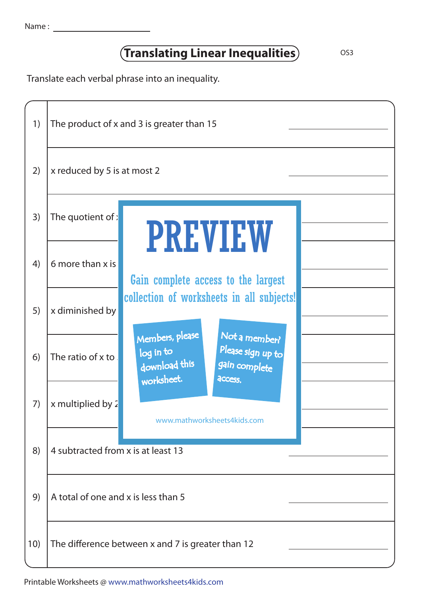## **Translating Linear Inequalities**

OS3

Translate each verbal phrase into an inequality.